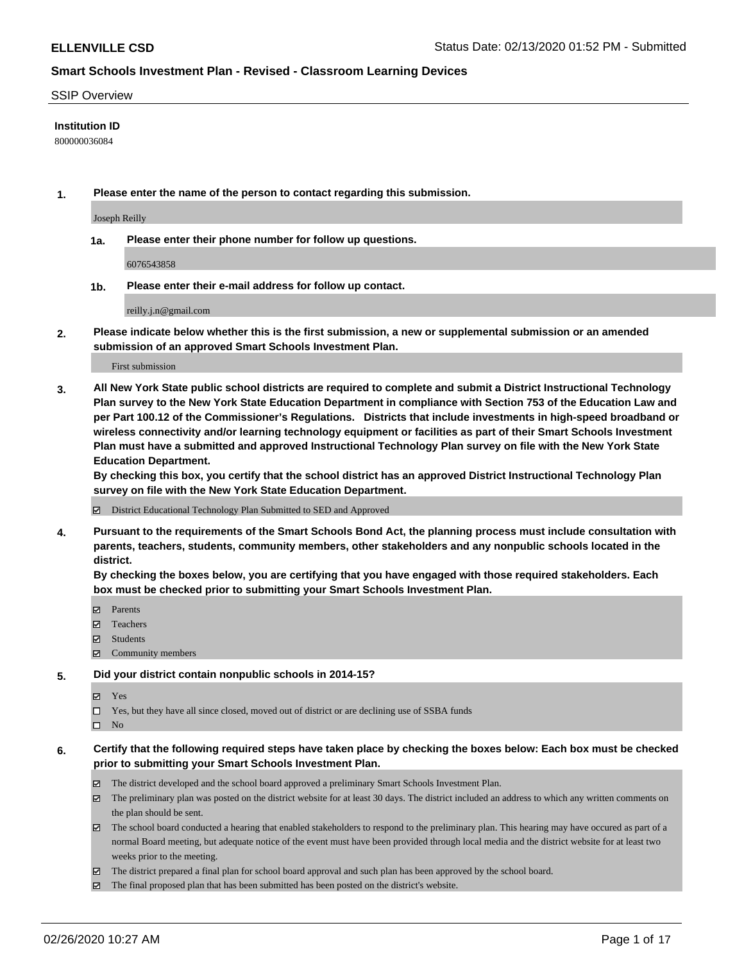#### SSIP Overview

### **Institution ID**

800000036084

**1. Please enter the name of the person to contact regarding this submission.**

Joseph Reilly

**1a. Please enter their phone number for follow up questions.**

6076543858

**1b. Please enter their e-mail address for follow up contact.**

reilly.j.n@gmail.com

**2. Please indicate below whether this is the first submission, a new or supplemental submission or an amended submission of an approved Smart Schools Investment Plan.**

#### First submission

**3. All New York State public school districts are required to complete and submit a District Instructional Technology Plan survey to the New York State Education Department in compliance with Section 753 of the Education Law and per Part 100.12 of the Commissioner's Regulations. Districts that include investments in high-speed broadband or wireless connectivity and/or learning technology equipment or facilities as part of their Smart Schools Investment Plan must have a submitted and approved Instructional Technology Plan survey on file with the New York State Education Department.** 

**By checking this box, you certify that the school district has an approved District Instructional Technology Plan survey on file with the New York State Education Department.**

District Educational Technology Plan Submitted to SED and Approved

**4. Pursuant to the requirements of the Smart Schools Bond Act, the planning process must include consultation with parents, teachers, students, community members, other stakeholders and any nonpublic schools located in the district.** 

**By checking the boxes below, you are certifying that you have engaged with those required stakeholders. Each box must be checked prior to submitting your Smart Schools Investment Plan.**

- **マ** Parents
- Teachers
- Students
- Community members

#### **5. Did your district contain nonpublic schools in 2014-15?**

**冈** Yes

Yes, but they have all since closed, moved out of district or are declining use of SSBA funds

 $\square$  No

- **6. Certify that the following required steps have taken place by checking the boxes below: Each box must be checked prior to submitting your Smart Schools Investment Plan.**
	- The district developed and the school board approved a preliminary Smart Schools Investment Plan.
	- $\boxtimes$  The preliminary plan was posted on the district website for at least 30 days. The district included an address to which any written comments on the plan should be sent.
	- $\boxtimes$  The school board conducted a hearing that enabled stakeholders to respond to the preliminary plan. This hearing may have occured as part of a normal Board meeting, but adequate notice of the event must have been provided through local media and the district website for at least two weeks prior to the meeting.
	- The district prepared a final plan for school board approval and such plan has been approved by the school board.
	- $\boxtimes$  The final proposed plan that has been submitted has been posted on the district's website.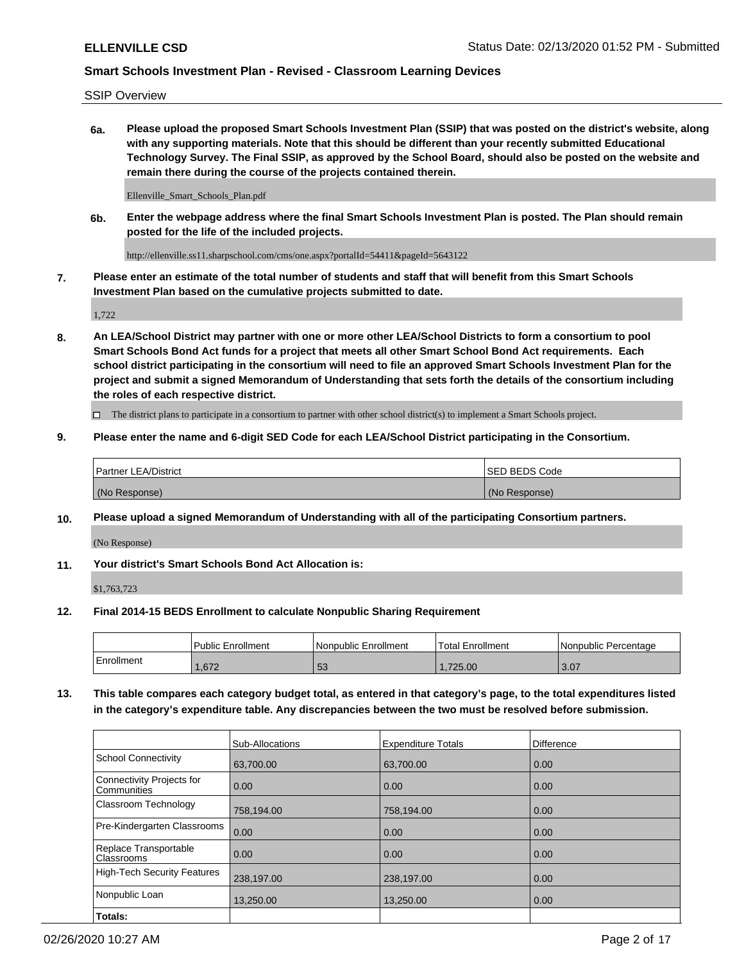SSIP Overview

**6a. Please upload the proposed Smart Schools Investment Plan (SSIP) that was posted on the district's website, along with any supporting materials. Note that this should be different than your recently submitted Educational Technology Survey. The Final SSIP, as approved by the School Board, should also be posted on the website and remain there during the course of the projects contained therein.**

Ellenville\_Smart\_Schools\_Plan.pdf

**6b. Enter the webpage address where the final Smart Schools Investment Plan is posted. The Plan should remain posted for the life of the included projects.**

http://ellenville.ss11.sharpschool.com/cms/one.aspx?portalId=54411&pageId=5643122

**7. Please enter an estimate of the total number of students and staff that will benefit from this Smart Schools Investment Plan based on the cumulative projects submitted to date.**

1,722

**8. An LEA/School District may partner with one or more other LEA/School Districts to form a consortium to pool Smart Schools Bond Act funds for a project that meets all other Smart School Bond Act requirements. Each school district participating in the consortium will need to file an approved Smart Schools Investment Plan for the project and submit a signed Memorandum of Understanding that sets forth the details of the consortium including the roles of each respective district.**

 $\Box$  The district plans to participate in a consortium to partner with other school district(s) to implement a Smart Schools project.

### **9. Please enter the name and 6-digit SED Code for each LEA/School District participating in the Consortium.**

| Partner LEA/District | <b>ISED BEDS Code</b> |
|----------------------|-----------------------|
| (No Response)        | (No Response)         |

## **10. Please upload a signed Memorandum of Understanding with all of the participating Consortium partners.**

(No Response)

**11. Your district's Smart Schools Bond Act Allocation is:**

\$1,763,723

#### **12. Final 2014-15 BEDS Enrollment to calculate Nonpublic Sharing Requirement**

|            | Public Enrollment | Nonpublic Enrollment | <b>Total Enrollment</b> | I Nonpublic Percentage |
|------------|-------------------|----------------------|-------------------------|------------------------|
| Enrollment | .672              | E O<br>ັບປ           | .725.00                 | 3.07                   |

**13. This table compares each category budget total, as entered in that category's page, to the total expenditures listed in the category's expenditure table. Any discrepancies between the two must be resolved before submission.**

|                                          | Sub-Allocations | <b>Expenditure Totals</b> | <b>Difference</b> |
|------------------------------------------|-----------------|---------------------------|-------------------|
| <b>School Connectivity</b>               | 63,700.00       | 63,700.00                 | 0.00              |
| Connectivity Projects for<br>Communities | 0.00            | 0.00                      | 0.00              |
| Classroom Technology                     | 758,194.00      | 758,194.00                | 0.00              |
| Pre-Kindergarten Classrooms              | 0.00            | 0.00                      | 0.00              |
| Replace Transportable<br>Classrooms      | 0.00            | 0.00                      | 0.00              |
| <b>High-Tech Security Features</b>       | 238,197.00      | 238,197.00                | 0.00              |
| Nonpublic Loan                           | 13,250.00       | 13.250.00                 | 0.00              |
| Totals:                                  |                 |                           |                   |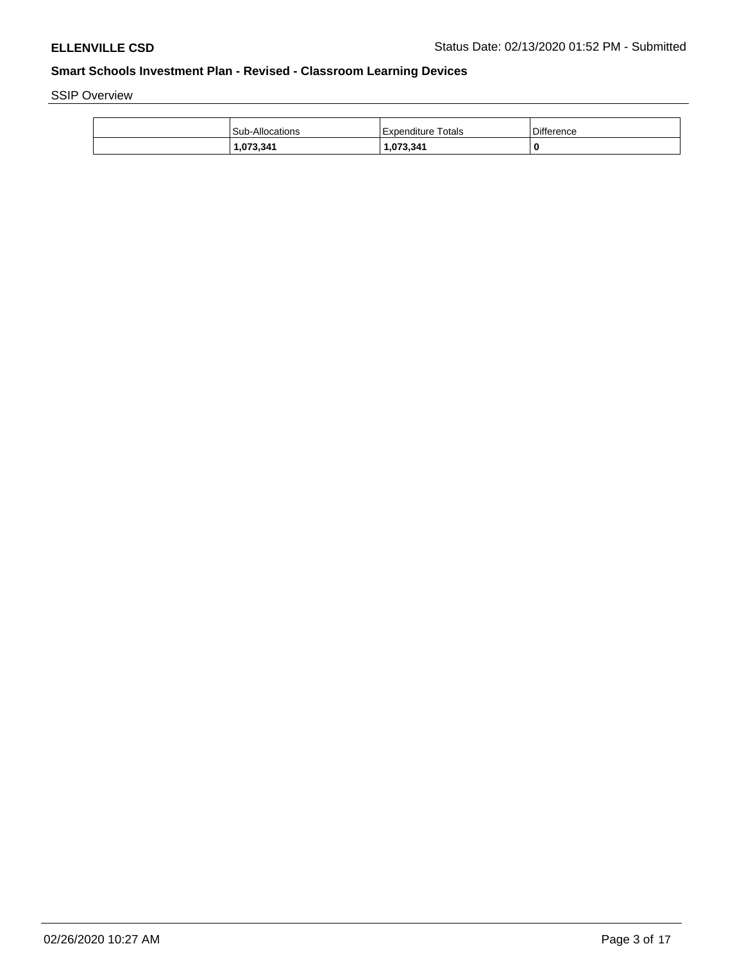SSIP Overview

| l Sub-Allocations | <b>Expenditure Totals</b> | Difference |
|-------------------|---------------------------|------------|
| 1.073.341         | 1,073,341                 | 0          |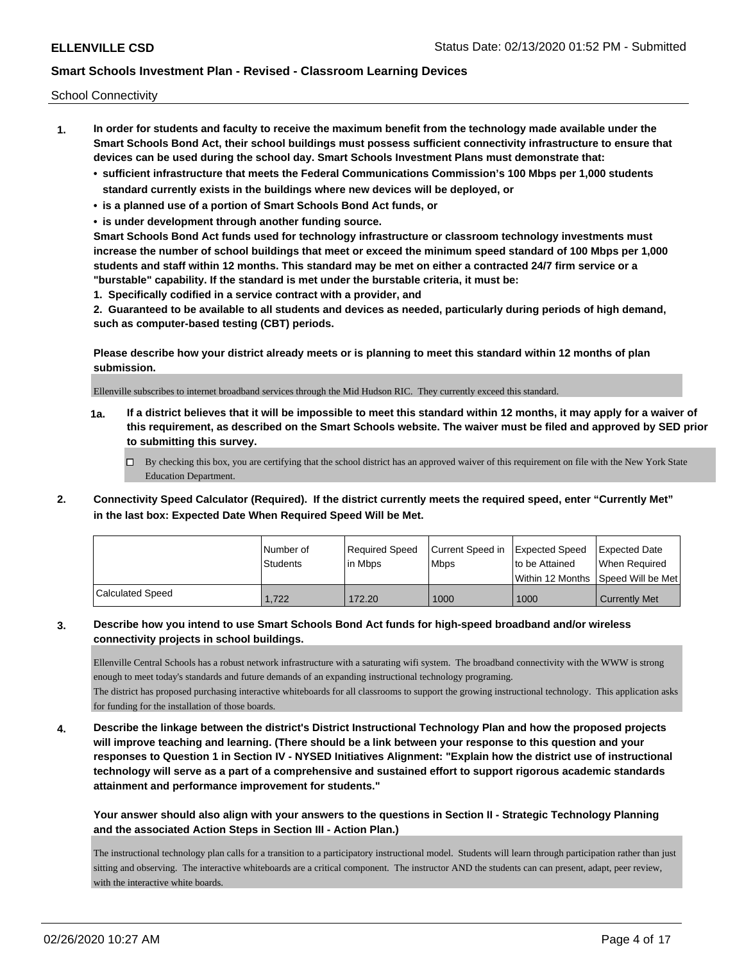School Connectivity

- **1. In order for students and faculty to receive the maximum benefit from the technology made available under the Smart Schools Bond Act, their school buildings must possess sufficient connectivity infrastructure to ensure that devices can be used during the school day. Smart Schools Investment Plans must demonstrate that:**
	- **• sufficient infrastructure that meets the Federal Communications Commission's 100 Mbps per 1,000 students standard currently exists in the buildings where new devices will be deployed, or**
	- **• is a planned use of a portion of Smart Schools Bond Act funds, or**
	- **• is under development through another funding source.**

**Smart Schools Bond Act funds used for technology infrastructure or classroom technology investments must increase the number of school buildings that meet or exceed the minimum speed standard of 100 Mbps per 1,000 students and staff within 12 months. This standard may be met on either a contracted 24/7 firm service or a "burstable" capability. If the standard is met under the burstable criteria, it must be:**

**1. Specifically codified in a service contract with a provider, and**

**2. Guaranteed to be available to all students and devices as needed, particularly during periods of high demand, such as computer-based testing (CBT) periods.**

**Please describe how your district already meets or is planning to meet this standard within 12 months of plan submission.**

Ellenville subscribes to internet broadband services through the Mid Hudson RIC. They currently exceed this standard.

**1a. If a district believes that it will be impossible to meet this standard within 12 months, it may apply for a waiver of this requirement, as described on the Smart Schools website. The waiver must be filed and approved by SED prior to submitting this survey.**

 $\Box$  By checking this box, you are certifying that the school district has an approved waiver of this requirement on file with the New York State Education Department.

**2. Connectivity Speed Calculator (Required). If the district currently meets the required speed, enter "Currently Met" in the last box: Expected Date When Required Speed Will be Met.**

|                         | l Number of<br>Students | Required Speed<br>l in Mbps | Current Speed in<br><b>Mbps</b> | Expected Speed<br>to be Attained | <b>Expected Date</b><br>When Required |
|-------------------------|-------------------------|-----------------------------|---------------------------------|----------------------------------|---------------------------------------|
|                         |                         |                             |                                 |                                  | Within 12 Months Speed Will be Met    |
| <b>Calculated Speed</b> | 1.722                   | 172.20                      | 1000                            | 1000                             | <b>Currently Met</b>                  |

## **3. Describe how you intend to use Smart Schools Bond Act funds for high-speed broadband and/or wireless connectivity projects in school buildings.**

Ellenville Central Schools has a robust network infrastructure with a saturating wifi system. The broadband connectivity with the WWW is strong enough to meet today's standards and future demands of an expanding instructional technology programing.

The district has proposed purchasing interactive whiteboards for all classrooms to support the growing instructional technology. This application asks for funding for the installation of those boards.

**4. Describe the linkage between the district's District Instructional Technology Plan and how the proposed projects will improve teaching and learning. (There should be a link between your response to this question and your responses to Question 1 in Section IV - NYSED Initiatives Alignment: "Explain how the district use of instructional technology will serve as a part of a comprehensive and sustained effort to support rigorous academic standards attainment and performance improvement for students."** 

**Your answer should also align with your answers to the questions in Section II - Strategic Technology Planning and the associated Action Steps in Section III - Action Plan.)**

The instructional technology plan calls for a transition to a participatory instructional model. Students will learn through participation rather than just sitting and observing. The interactive whiteboards are a critical component. The instructor AND the students can can present, adapt, peer review, with the interactive white boards.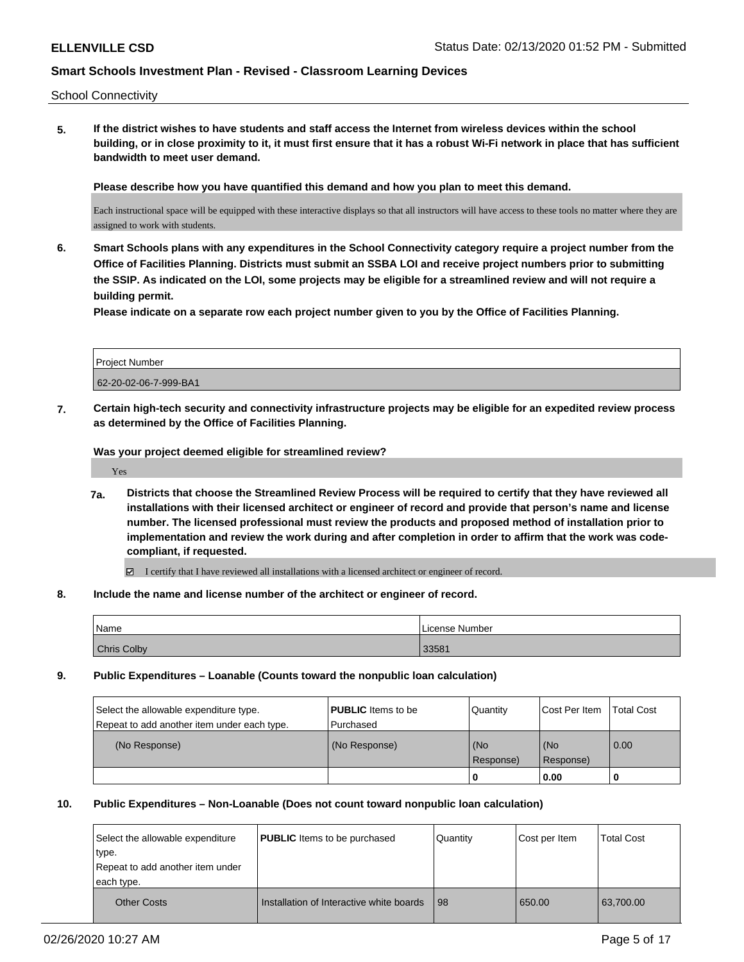School Connectivity

**5. If the district wishes to have students and staff access the Internet from wireless devices within the school building, or in close proximity to it, it must first ensure that it has a robust Wi-Fi network in place that has sufficient bandwidth to meet user demand.**

**Please describe how you have quantified this demand and how you plan to meet this demand.**

Each instructional space will be equipped with these interactive displays so that all instructors will have access to these tools no matter where they are assigned to work with students.

**6. Smart Schools plans with any expenditures in the School Connectivity category require a project number from the Office of Facilities Planning. Districts must submit an SSBA LOI and receive project numbers prior to submitting the SSIP. As indicated on the LOI, some projects may be eligible for a streamlined review and will not require a building permit.**

**Please indicate on a separate row each project number given to you by the Office of Facilities Planning.**

| <b>Project Number</b> |  |
|-----------------------|--|
| 62-20-02-06-7-999-BA1 |  |

**7. Certain high-tech security and connectivity infrastructure projects may be eligible for an expedited review process as determined by the Office of Facilities Planning.**

**Was your project deemed eligible for streamlined review?**

Yes

**7a. Districts that choose the Streamlined Review Process will be required to certify that they have reviewed all installations with their licensed architect or engineer of record and provide that person's name and license number. The licensed professional must review the products and proposed method of installation prior to implementation and review the work during and after completion in order to affirm that the work was codecompliant, if requested.**

I certify that I have reviewed all installations with a licensed architect or engineer of record.

**8. Include the name and license number of the architect or engineer of record.**

| 'Name              | License Number |
|--------------------|----------------|
| <b>Chris Colby</b> | 33581          |

## **9. Public Expenditures – Loanable (Counts toward the nonpublic loan calculation)**

| Select the allowable expenditure type.<br>Repeat to add another item under each type. | <b>PUBLIC</b> Items to be<br>l Purchased | Quantity         | Cost Per Item      | <b>Total Cost</b> |
|---------------------------------------------------------------------------------------|------------------------------------------|------------------|--------------------|-------------------|
| (No Response)                                                                         | (No Response)                            | (No<br>Response) | l (No<br>Response) | 0.00              |
|                                                                                       |                                          | л.               | 0.00               |                   |

## **10. Public Expenditures – Non-Loanable (Does not count toward nonpublic loan calculation)**

| Select the allowable expenditure<br>type.<br>Repeat to add another item under<br>each type. | <b>PUBLIC</b> Items to be purchased      | Quantity | Cost per Item | <b>Total Cost</b> |
|---------------------------------------------------------------------------------------------|------------------------------------------|----------|---------------|-------------------|
| <b>Other Costs</b>                                                                          | Installation of Interactive white boards | 98       | 650.00        | 63.700.00         |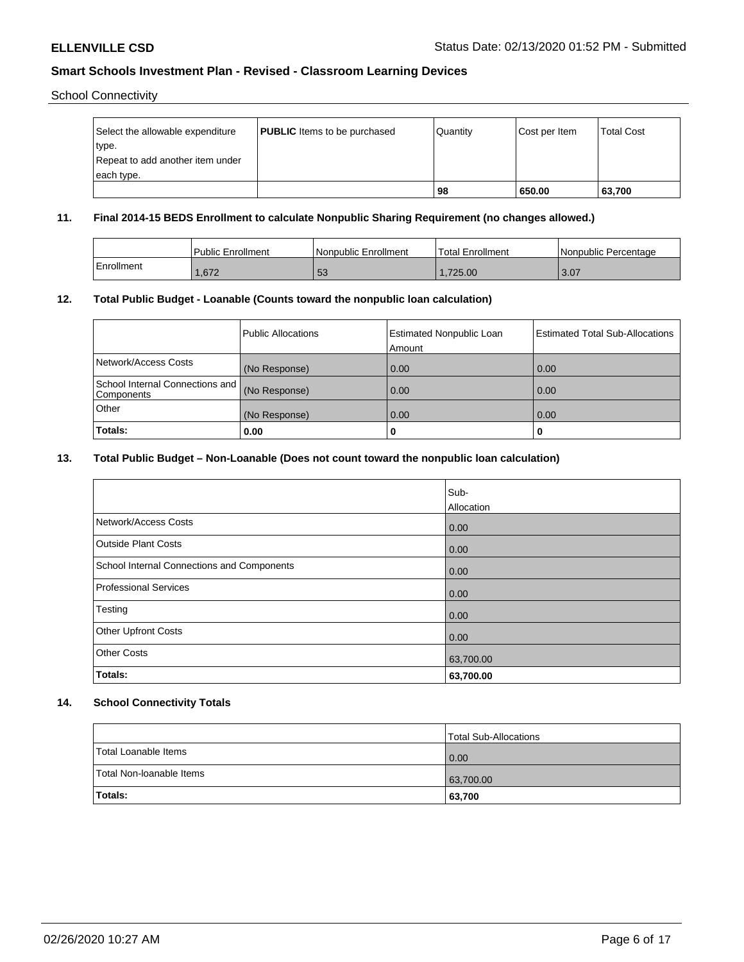School Connectivity

| Select the allowable expenditure | <b>PUBLIC</b> Items to be purchased | l Quantitv | Cost per Item | <b>Total Cost</b> |
|----------------------------------|-------------------------------------|------------|---------------|-------------------|
| type.                            |                                     |            |               |                   |
| Repeat to add another item under |                                     |            |               |                   |
| each type.                       |                                     |            |               |                   |
|                                  |                                     | 98         | 650.00        | 63,700            |

## **11. Final 2014-15 BEDS Enrollment to calculate Nonpublic Sharing Requirement (no changes allowed.)**

|            | Public Enrollment | Nonpublic Enrollment | <b>Total Enrollment</b> | Nonpublic Percentage |
|------------|-------------------|----------------------|-------------------------|----------------------|
| Enrollment | .672              | E O<br>ು             | .725.00                 | 3.07                 |

## **12. Total Public Budget - Loanable (Counts toward the nonpublic loan calculation)**

|                                               | Public Allocations | <b>Estimated Nonpublic Loan</b><br>Amount | <b>Estimated Total Sub-Allocations</b> |
|-----------------------------------------------|--------------------|-------------------------------------------|----------------------------------------|
| Network/Access Costs                          | (No Response)      | 0.00                                      | 0.00                                   |
| School Internal Connections and<br>Components | (No Response)      | 0.00                                      | 0.00                                   |
| Other                                         | (No Response)      | 0.00                                      | 0.00                                   |
| Totals:                                       | 0.00               | u                                         | 0                                      |

## **13. Total Public Budget – Non-Loanable (Does not count toward the nonpublic loan calculation)**

|                                            | Sub-<br>Allocation |
|--------------------------------------------|--------------------|
| Network/Access Costs                       | 0.00               |
| <b>Outside Plant Costs</b>                 | 0.00               |
| School Internal Connections and Components | 0.00               |
| Professional Services                      | 0.00               |
| Testing                                    | 0.00               |
| <b>Other Upfront Costs</b>                 | 0.00               |
| <b>Other Costs</b>                         | 63,700.00          |
| Totals:                                    | 63,700.00          |

## **14. School Connectivity Totals**

|                          | Total Sub-Allocations |
|--------------------------|-----------------------|
| Total Loanable Items     | 0.00                  |
| Total Non-Ioanable Items | 63,700.00             |
| Totals:                  | 63,700                |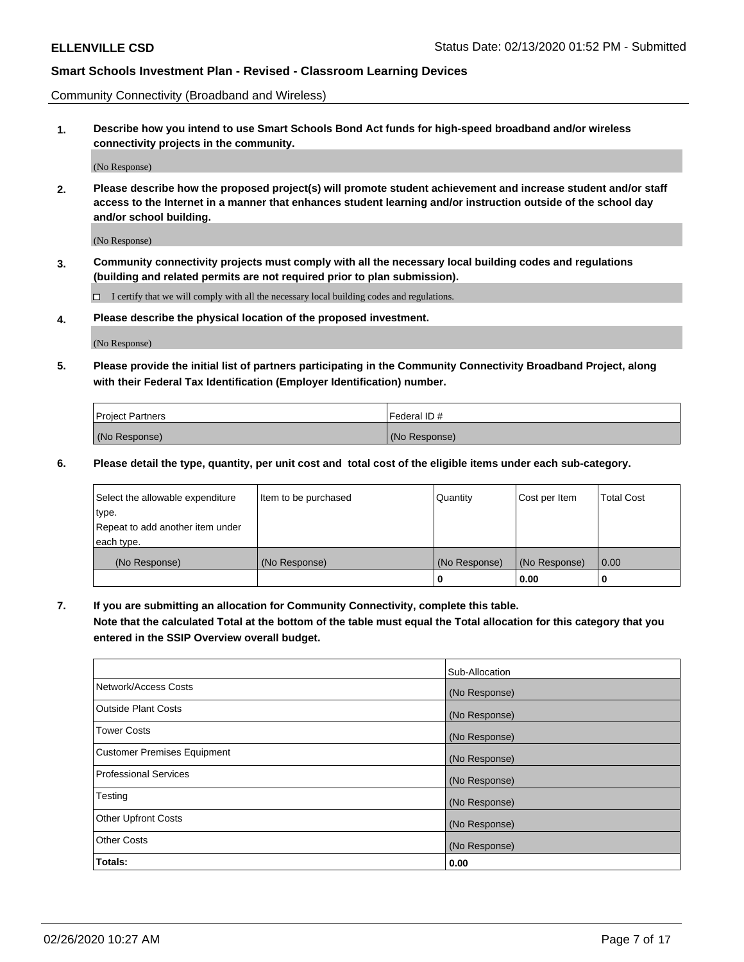Community Connectivity (Broadband and Wireless)

**1. Describe how you intend to use Smart Schools Bond Act funds for high-speed broadband and/or wireless connectivity projects in the community.**

(No Response)

**2. Please describe how the proposed project(s) will promote student achievement and increase student and/or staff access to the Internet in a manner that enhances student learning and/or instruction outside of the school day and/or school building.**

(No Response)

**3. Community connectivity projects must comply with all the necessary local building codes and regulations (building and related permits are not required prior to plan submission).**

 $\Box$  I certify that we will comply with all the necessary local building codes and regulations.

**4. Please describe the physical location of the proposed investment.**

(No Response)

**5. Please provide the initial list of partners participating in the Community Connectivity Broadband Project, along with their Federal Tax Identification (Employer Identification) number.**

| <b>Project Partners</b> | Federal ID#   |
|-------------------------|---------------|
| (No Response)           | (No Response) |

**6. Please detail the type, quantity, per unit cost and total cost of the eligible items under each sub-category.**

| Select the allowable expenditure | Item to be purchased | Quantity      | Cost per Item | <b>Total Cost</b> |
|----------------------------------|----------------------|---------------|---------------|-------------------|
| type.                            |                      |               |               |                   |
| Repeat to add another item under |                      |               |               |                   |
| each type.                       |                      |               |               |                   |
| (No Response)                    | (No Response)        | (No Response) | (No Response) | 0.00              |
|                                  |                      | o             | 0.00          |                   |

**7. If you are submitting an allocation for Community Connectivity, complete this table.**

**Note that the calculated Total at the bottom of the table must equal the Total allocation for this category that you entered in the SSIP Overview overall budget.**

|                                    | Sub-Allocation |
|------------------------------------|----------------|
| Network/Access Costs               | (No Response)  |
| Outside Plant Costs                | (No Response)  |
| <b>Tower Costs</b>                 | (No Response)  |
| <b>Customer Premises Equipment</b> | (No Response)  |
| <b>Professional Services</b>       | (No Response)  |
| Testing                            | (No Response)  |
| <b>Other Upfront Costs</b>         | (No Response)  |
| <b>Other Costs</b>                 | (No Response)  |
| Totals:                            | 0.00           |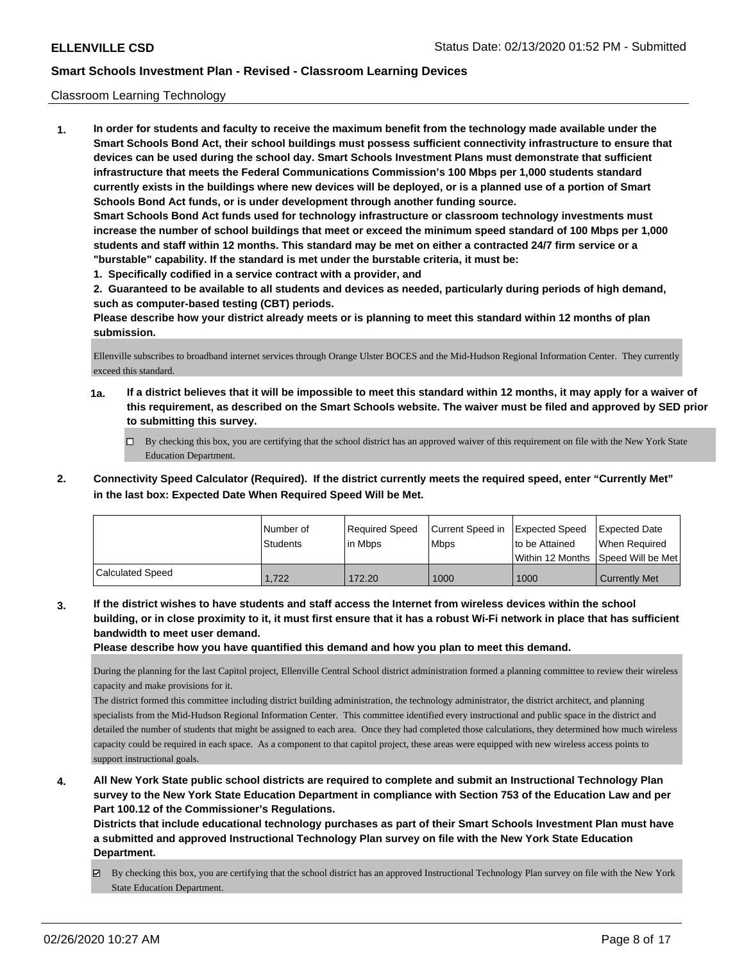## Classroom Learning Technology

**1. In order for students and faculty to receive the maximum benefit from the technology made available under the Smart Schools Bond Act, their school buildings must possess sufficient connectivity infrastructure to ensure that devices can be used during the school day. Smart Schools Investment Plans must demonstrate that sufficient infrastructure that meets the Federal Communications Commission's 100 Mbps per 1,000 students standard currently exists in the buildings where new devices will be deployed, or is a planned use of a portion of Smart Schools Bond Act funds, or is under development through another funding source. Smart Schools Bond Act funds used for technology infrastructure or classroom technology investments must increase the number of school buildings that meet or exceed the minimum speed standard of 100 Mbps per 1,000 students and staff within 12 months. This standard may be met on either a contracted 24/7 firm service or a "burstable" capability. If the standard is met under the burstable criteria, it must be:**

**1. Specifically codified in a service contract with a provider, and**

**2. Guaranteed to be available to all students and devices as needed, particularly during periods of high demand, such as computer-based testing (CBT) periods.**

**Please describe how your district already meets or is planning to meet this standard within 12 months of plan submission.**

Ellenville subscribes to broadband internet services through Orange Ulster BOCES and the Mid-Hudson Regional Information Center. They currently exceed this standard.

- **1a. If a district believes that it will be impossible to meet this standard within 12 months, it may apply for a waiver of this requirement, as described on the Smart Schools website. The waiver must be filed and approved by SED prior to submitting this survey.**
	- By checking this box, you are certifying that the school district has an approved waiver of this requirement on file with the New York State Education Department.
- **2. Connectivity Speed Calculator (Required). If the district currently meets the required speed, enter "Currently Met" in the last box: Expected Date When Required Speed Will be Met.**

|                         | l Number of<br><b>Students</b> | Required Speed<br>l in Mbps | Current Speed in<br>l Mbps | <b>Expected Speed</b><br>to be Attained | <b>Expected Date</b><br>When Required<br> Within 12 Months  Speed Will be Met |
|-------------------------|--------------------------------|-----------------------------|----------------------------|-----------------------------------------|-------------------------------------------------------------------------------|
| <b>Calculated Speed</b> | 1.722                          | 172.20                      | 1000                       | 1000                                    | <b>Currently Met</b>                                                          |

**3. If the district wishes to have students and staff access the Internet from wireless devices within the school building, or in close proximity to it, it must first ensure that it has a robust Wi-Fi network in place that has sufficient bandwidth to meet user demand.**

**Please describe how you have quantified this demand and how you plan to meet this demand.**

During the planning for the last Capitol project, Ellenville Central School district administration formed a planning committee to review their wireless capacity and make provisions for it.

The district formed this committee including district building administration, the technology administrator, the district architect, and planning specialists from the Mid-Hudson Regional Information Center. This committee identified every instructional and public space in the district and detailed the number of students that might be assigned to each area. Once they had completed those calculations, they determined how much wireless capacity could be required in each space. As a component to that capitol project, these areas were equipped with new wireless access points to support instructional goals.

**4. All New York State public school districts are required to complete and submit an Instructional Technology Plan survey to the New York State Education Department in compliance with Section 753 of the Education Law and per Part 100.12 of the Commissioner's Regulations.**

**Districts that include educational technology purchases as part of their Smart Schools Investment Plan must have a submitted and approved Instructional Technology Plan survey on file with the New York State Education Department.**

By checking this box, you are certifying that the school district has an approved Instructional Technology Plan survey on file with the New York State Education Department.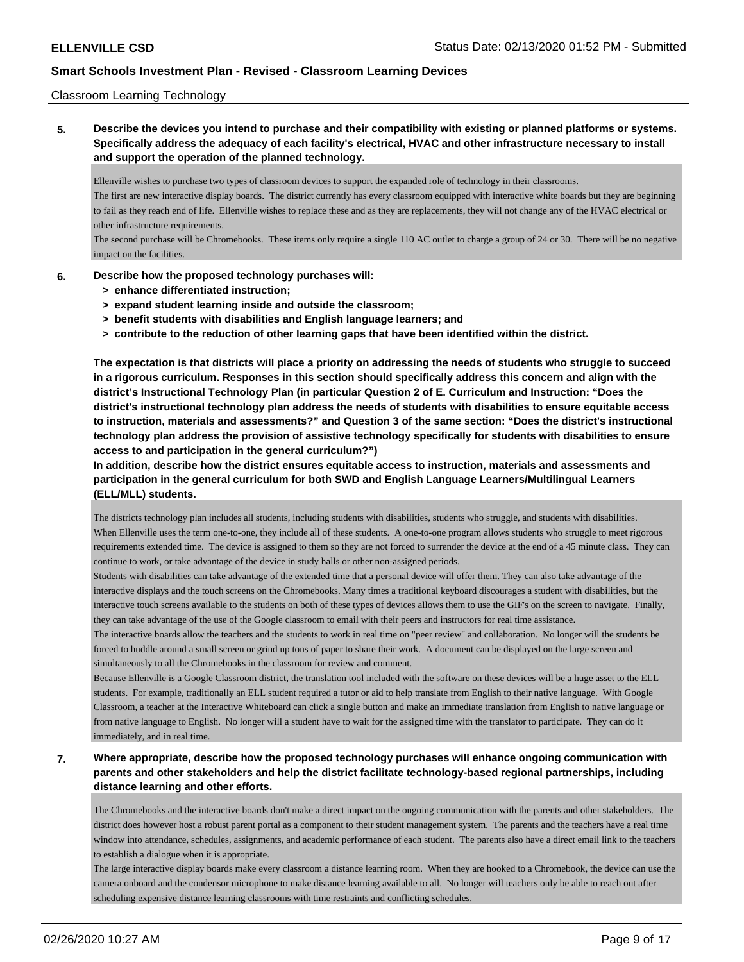## Classroom Learning Technology

**5. Describe the devices you intend to purchase and their compatibility with existing or planned platforms or systems. Specifically address the adequacy of each facility's electrical, HVAC and other infrastructure necessary to install and support the operation of the planned technology.**

Ellenville wishes to purchase two types of classroom devices to support the expanded role of technology in their classrooms.

The first are new interactive display boards. The district currently has every classroom equipped with interactive white boards but they are beginning to fail as they reach end of life. Ellenville wishes to replace these and as they are replacements, they will not change any of the HVAC electrical or other infrastructure requirements.

The second purchase will be Chromebooks. These items only require a single 110 AC outlet to charge a group of 24 or 30. There will be no negative impact on the facilities.

#### **6. Describe how the proposed technology purchases will:**

- **> enhance differentiated instruction;**
- **> expand student learning inside and outside the classroom;**
- **> benefit students with disabilities and English language learners; and**
- **> contribute to the reduction of other learning gaps that have been identified within the district.**

**The expectation is that districts will place a priority on addressing the needs of students who struggle to succeed in a rigorous curriculum. Responses in this section should specifically address this concern and align with the district's Instructional Technology Plan (in particular Question 2 of E. Curriculum and Instruction: "Does the district's instructional technology plan address the needs of students with disabilities to ensure equitable access to instruction, materials and assessments?" and Question 3 of the same section: "Does the district's instructional technology plan address the provision of assistive technology specifically for students with disabilities to ensure access to and participation in the general curriculum?")**

**In addition, describe how the district ensures equitable access to instruction, materials and assessments and participation in the general curriculum for both SWD and English Language Learners/Multilingual Learners (ELL/MLL) students.**

The districts technology plan includes all students, including students with disabilities, students who struggle, and students with disabilities. When Ellenville uses the term one-to-one, they include all of these students. A one-to-one program allows students who struggle to meet rigorous requirements extended time. The device is assigned to them so they are not forced to surrender the device at the end of a 45 minute class. They can continue to work, or take advantage of the device in study halls or other non-assigned periods.

Students with disabilities can take advantage of the extended time that a personal device will offer them. They can also take advantage of the interactive displays and the touch screens on the Chromebooks. Many times a traditional keyboard discourages a student with disabilities, but the interactive touch screens available to the students on both of these types of devices allows them to use the GIF's on the screen to navigate. Finally, they can take advantage of the use of the Google classroom to email with their peers and instructors for real time assistance.

The interactive boards allow the teachers and the students to work in real time on "peer review" and collaboration. No longer will the students be forced to huddle around a small screen or grind up tons of paper to share their work. A document can be displayed on the large screen and simultaneously to all the Chromebooks in the classroom for review and comment.

Because Ellenville is a Google Classroom district, the translation tool included with the software on these devices will be a huge asset to the ELL students. For example, traditionally an ELL student required a tutor or aid to help translate from English to their native language. With Google Classroom, a teacher at the Interactive Whiteboard can click a single button and make an immediate translation from English to native language or from native language to English. No longer will a student have to wait for the assigned time with the translator to participate. They can do it immediately, and in real time.

**7. Where appropriate, describe how the proposed technology purchases will enhance ongoing communication with parents and other stakeholders and help the district facilitate technology-based regional partnerships, including distance learning and other efforts.**

The Chromebooks and the interactive boards don't make a direct impact on the ongoing communication with the parents and other stakeholders. The district does however host a robust parent portal as a component to their student management system. The parents and the teachers have a real time window into attendance, schedules, assignments, and academic performance of each student. The parents also have a direct email link to the teachers to establish a dialogue when it is appropriate.

The large interactive display boards make every classroom a distance learning room. When they are hooked to a Chromebook, the device can use the camera onboard and the condensor microphone to make distance learning available to all. No longer will teachers only be able to reach out after scheduling expensive distance learning classrooms with time restraints and conflicting schedules.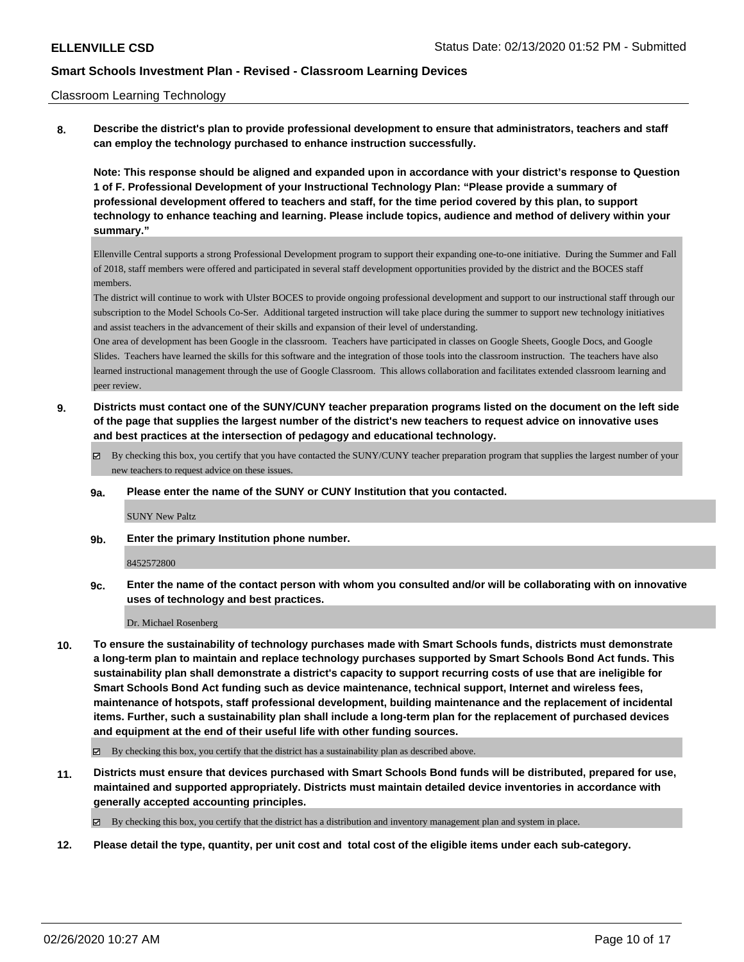#### Classroom Learning Technology

**8. Describe the district's plan to provide professional development to ensure that administrators, teachers and staff can employ the technology purchased to enhance instruction successfully.**

**Note: This response should be aligned and expanded upon in accordance with your district's response to Question 1 of F. Professional Development of your Instructional Technology Plan: "Please provide a summary of professional development offered to teachers and staff, for the time period covered by this plan, to support technology to enhance teaching and learning. Please include topics, audience and method of delivery within your summary."**

Ellenville Central supports a strong Professional Development program to support their expanding one-to-one initiative. During the Summer and Fall of 2018, staff members were offered and participated in several staff development opportunities provided by the district and the BOCES staff members.

The district will continue to work with Ulster BOCES to provide ongoing professional development and support to our instructional staff through our subscription to the Model Schools Co-Ser. Additional targeted instruction will take place during the summer to support new technology initiatives and assist teachers in the advancement of their skills and expansion of their level of understanding.

One area of development has been Google in the classroom. Teachers have participated in classes on Google Sheets, Google Docs, and Google Slides. Teachers have learned the skills for this software and the integration of those tools into the classroom instruction. The teachers have also learned instructional management through the use of Google Classroom. This allows collaboration and facilitates extended classroom learning and peer review.

**9. Districts must contact one of the SUNY/CUNY teacher preparation programs listed on the document on the left side of the page that supplies the largest number of the district's new teachers to request advice on innovative uses and best practices at the intersection of pedagogy and educational technology.**

 $\boxtimes$  By checking this box, you certify that you have contacted the SUNY/CUNY teacher preparation program that supplies the largest number of your new teachers to request advice on these issues.

#### **9a. Please enter the name of the SUNY or CUNY Institution that you contacted.**

#### SUNY New Paltz

**9b. Enter the primary Institution phone number.**

8452572800

**9c. Enter the name of the contact person with whom you consulted and/or will be collaborating with on innovative uses of technology and best practices.**

Dr. Michael Rosenberg

**10. To ensure the sustainability of technology purchases made with Smart Schools funds, districts must demonstrate a long-term plan to maintain and replace technology purchases supported by Smart Schools Bond Act funds. This sustainability plan shall demonstrate a district's capacity to support recurring costs of use that are ineligible for Smart Schools Bond Act funding such as device maintenance, technical support, Internet and wireless fees, maintenance of hotspots, staff professional development, building maintenance and the replacement of incidental items. Further, such a sustainability plan shall include a long-term plan for the replacement of purchased devices and equipment at the end of their useful life with other funding sources.**

 $\boxtimes$  By checking this box, you certify that the district has a sustainability plan as described above.

**11. Districts must ensure that devices purchased with Smart Schools Bond funds will be distributed, prepared for use, maintained and supported appropriately. Districts must maintain detailed device inventories in accordance with generally accepted accounting principles.**

By checking this box, you certify that the district has a distribution and inventory management plan and system in place.

**12. Please detail the type, quantity, per unit cost and total cost of the eligible items under each sub-category.**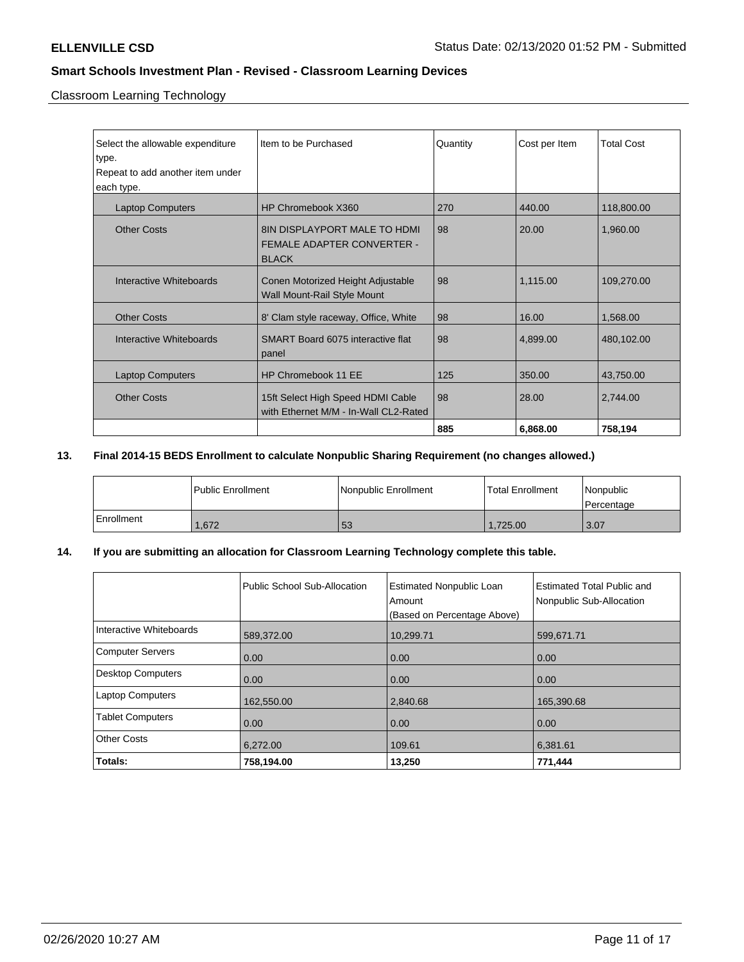Classroom Learning Technology

| Select the allowable expenditure | Item to be Purchased                  | Quantity | Cost per Item | <b>Total Cost</b> |
|----------------------------------|---------------------------------------|----------|---------------|-------------------|
| type.                            |                                       |          |               |                   |
| Repeat to add another item under |                                       |          |               |                   |
| each type.                       |                                       |          |               |                   |
| <b>Laptop Computers</b>          | HP Chromebook X360                    | 270      | 440.00        | 118,800.00        |
| <b>Other Costs</b>               | <b>8IN DISPLAYPORT MALE TO HDMI</b>   | 98       | 20.00         | 1,960.00          |
|                                  | <b>FEMALE ADAPTER CONVERTER -</b>     |          |               |                   |
|                                  | <b>BLACK</b>                          |          |               |                   |
|                                  |                                       |          |               |                   |
| Interactive Whiteboards          | Conen Motorized Height Adjustable     | 98       | 1.115.00      | 109,270.00        |
|                                  | Wall Mount-Rail Style Mount           |          |               |                   |
|                                  |                                       |          |               |                   |
| <b>Other Costs</b>               | 8' Clam style raceway, Office, White  | 98       | 16.00         | 1,568.00          |
| Interactive Whiteboards          | SMART Board 6075 interactive flat     | 98       | 4,899.00      | 480,102.00        |
|                                  | panel                                 |          |               |                   |
|                                  |                                       |          |               |                   |
| <b>Laptop Computers</b>          | HP Chromebook 11 EE                   | 125      | 350.00        | 43,750.00         |
| <b>Other Costs</b>               | 15ft Select High Speed HDMI Cable     | 98       | 28.00         | 2,744.00          |
|                                  | with Ethernet M/M - In-Wall CL2-Rated |          |               |                   |
|                                  |                                       |          |               |                   |
|                                  |                                       | 885      | 6,868.00      | 758,194           |

# **13. Final 2014-15 BEDS Enrollment to calculate Nonpublic Sharing Requirement (no changes allowed.)**

|            | Public Enrollment | Nonpublic Enrollment | <b>Total Enrollment</b> | Nonpublic<br>l Percentage |
|------------|-------------------|----------------------|-------------------------|---------------------------|
| Enrollment | .672              | 53                   | 1.725.00                | 3.07                      |

## **14. If you are submitting an allocation for Classroom Learning Technology complete this table.**

|                          | Public School Sub-Allocation | <b>Estimated Nonpublic Loan</b><br>Amount<br>(Based on Percentage Above) | Estimated Total Public and<br>Nonpublic Sub-Allocation |
|--------------------------|------------------------------|--------------------------------------------------------------------------|--------------------------------------------------------|
| Interactive Whiteboards  | 589,372.00                   | 10,299.71                                                                | 599,671.71                                             |
| <b>Computer Servers</b>  | 0.00                         | 0.00                                                                     | 0.00                                                   |
| <b>Desktop Computers</b> | 0.00                         | 0.00                                                                     | 0.00                                                   |
| <b>Laptop Computers</b>  | 162,550.00                   | 2,840.68                                                                 | 165,390.68                                             |
| <b>Tablet Computers</b>  | 0.00                         | 0.00                                                                     | 0.00                                                   |
| <b>Other Costs</b>       | 6,272.00                     | 109.61                                                                   | 6,381.61                                               |
| Totals:                  | 758,194.00                   | 13,250                                                                   | 771,444                                                |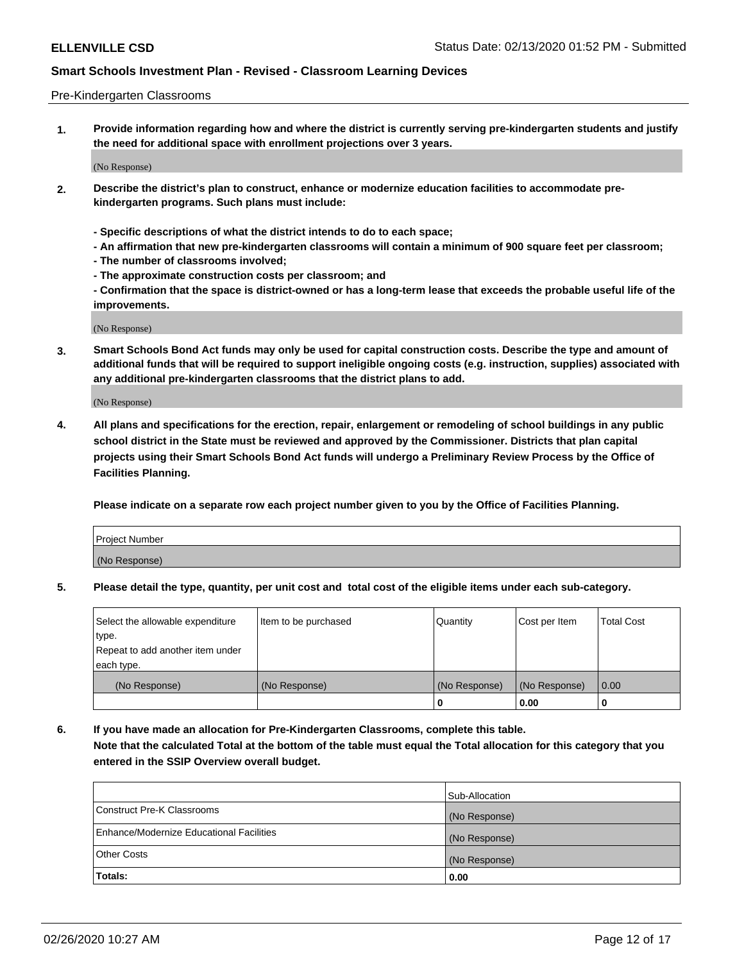### Pre-Kindergarten Classrooms

**1. Provide information regarding how and where the district is currently serving pre-kindergarten students and justify the need for additional space with enrollment projections over 3 years.**

(No Response)

- **2. Describe the district's plan to construct, enhance or modernize education facilities to accommodate prekindergarten programs. Such plans must include:**
	- **Specific descriptions of what the district intends to do to each space;**
	- **An affirmation that new pre-kindergarten classrooms will contain a minimum of 900 square feet per classroom;**
	- **The number of classrooms involved;**
	- **The approximate construction costs per classroom; and**
	- **Confirmation that the space is district-owned or has a long-term lease that exceeds the probable useful life of the improvements.**

(No Response)

**3. Smart Schools Bond Act funds may only be used for capital construction costs. Describe the type and amount of additional funds that will be required to support ineligible ongoing costs (e.g. instruction, supplies) associated with any additional pre-kindergarten classrooms that the district plans to add.**

(No Response)

**4. All plans and specifications for the erection, repair, enlargement or remodeling of school buildings in any public school district in the State must be reviewed and approved by the Commissioner. Districts that plan capital projects using their Smart Schools Bond Act funds will undergo a Preliminary Review Process by the Office of Facilities Planning.**

**Please indicate on a separate row each project number given to you by the Office of Facilities Planning.**

| Project Number |  |
|----------------|--|
| (No Response)  |  |
|                |  |

**5. Please detail the type, quantity, per unit cost and total cost of the eligible items under each sub-category.**

| Select the allowable expenditure | Item to be purchased | Quantity      | Cost per Item | <b>Total Cost</b> |
|----------------------------------|----------------------|---------------|---------------|-------------------|
| type.                            |                      |               |               |                   |
| Repeat to add another item under |                      |               |               |                   |
| each type.                       |                      |               |               |                   |
| (No Response)                    | (No Response)        | (No Response) | (No Response) | 0.00              |
|                                  |                      | υ             | 0.00          |                   |

**6. If you have made an allocation for Pre-Kindergarten Classrooms, complete this table. Note that the calculated Total at the bottom of the table must equal the Total allocation for this category that you entered in the SSIP Overview overall budget.**

|                                          | Sub-Allocation |
|------------------------------------------|----------------|
| Construct Pre-K Classrooms               | (No Response)  |
| Enhance/Modernize Educational Facilities | (No Response)  |
| <b>Other Costs</b>                       | (No Response)  |
| Totals:                                  | 0.00           |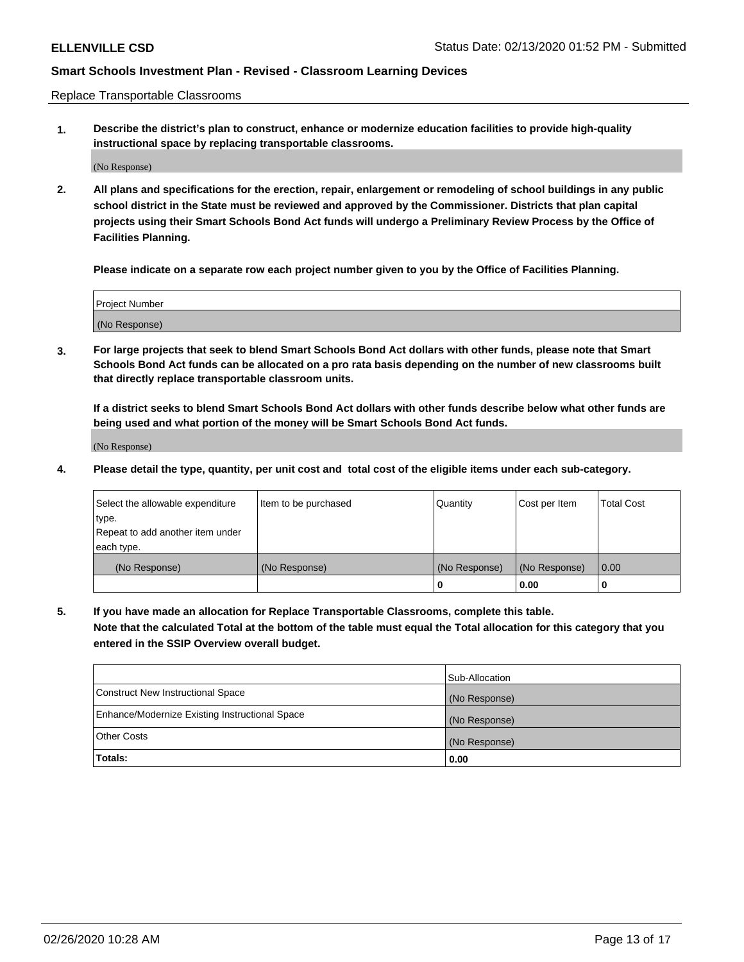Replace Transportable Classrooms

**1. Describe the district's plan to construct, enhance or modernize education facilities to provide high-quality instructional space by replacing transportable classrooms.**

(No Response)

**2. All plans and specifications for the erection, repair, enlargement or remodeling of school buildings in any public school district in the State must be reviewed and approved by the Commissioner. Districts that plan capital projects using their Smart Schools Bond Act funds will undergo a Preliminary Review Process by the Office of Facilities Planning.**

**Please indicate on a separate row each project number given to you by the Office of Facilities Planning.**

| Project Number |  |
|----------------|--|
|                |  |
|                |  |
|                |  |
| (No Response)  |  |
|                |  |
|                |  |

**3. For large projects that seek to blend Smart Schools Bond Act dollars with other funds, please note that Smart Schools Bond Act funds can be allocated on a pro rata basis depending on the number of new classrooms built that directly replace transportable classroom units.**

**If a district seeks to blend Smart Schools Bond Act dollars with other funds describe below what other funds are being used and what portion of the money will be Smart Schools Bond Act funds.**

(No Response)

**4. Please detail the type, quantity, per unit cost and total cost of the eligible items under each sub-category.**

| Select the allowable expenditure | Item to be purchased | Quantity      | Cost per Item | Total Cost |
|----------------------------------|----------------------|---------------|---------------|------------|
| ∣type.                           |                      |               |               |            |
| Repeat to add another item under |                      |               |               |            |
| each type.                       |                      |               |               |            |
| (No Response)                    | (No Response)        | (No Response) | (No Response) | 0.00       |
|                                  |                      | u             | 0.00          |            |

**5. If you have made an allocation for Replace Transportable Classrooms, complete this table. Note that the calculated Total at the bottom of the table must equal the Total allocation for this category that you entered in the SSIP Overview overall budget.**

|                                                | Sub-Allocation |
|------------------------------------------------|----------------|
| Construct New Instructional Space              | (No Response)  |
| Enhance/Modernize Existing Instructional Space | (No Response)  |
| Other Costs                                    | (No Response)  |
| Totals:                                        | 0.00           |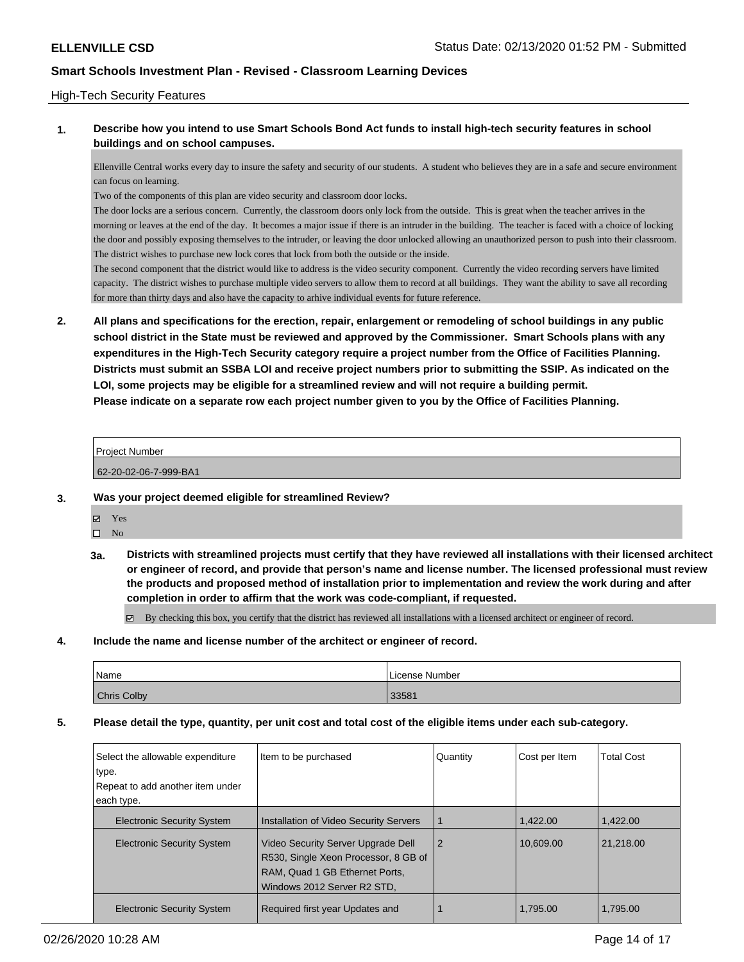## High-Tech Security Features

## **1. Describe how you intend to use Smart Schools Bond Act funds to install high-tech security features in school buildings and on school campuses.**

Ellenville Central works every day to insure the safety and security of our students. A student who believes they are in a safe and secure environment can focus on learning.

Two of the components of this plan are video security and classroom door locks.

The door locks are a serious concern. Currently, the classroom doors only lock from the outside. This is great when the teacher arrives in the morning or leaves at the end of the day. It becomes a major issue if there is an intruder in the building. The teacher is faced with a choice of locking the door and possibly exposing themselves to the intruder, or leaving the door unlocked allowing an unauthorized person to push into their classroom. The district wishes to purchase new lock cores that lock from both the outside or the inside.

The second component that the district would like to address is the video security component. Currently the video recording servers have limited capacity. The district wishes to purchase multiple video servers to allow them to record at all buildings. They want the ability to save all recording for more than thirty days and also have the capacity to arhive individual events for future reference.

**2. All plans and specifications for the erection, repair, enlargement or remodeling of school buildings in any public school district in the State must be reviewed and approved by the Commissioner. Smart Schools plans with any expenditures in the High-Tech Security category require a project number from the Office of Facilities Planning. Districts must submit an SSBA LOI and receive project numbers prior to submitting the SSIP. As indicated on the LOI, some projects may be eligible for a streamlined review and will not require a building permit. Please indicate on a separate row each project number given to you by the Office of Facilities Planning.**

#### Project Number

62-20-02-06-7-999-BA1

#### **3. Was your project deemed eligible for streamlined Review?**

- Yes  $\square$  No
- **3a. Districts with streamlined projects must certify that they have reviewed all installations with their licensed architect or engineer of record, and provide that person's name and license number. The licensed professional must review the products and proposed method of installation prior to implementation and review the work during and after completion in order to affirm that the work was code-compliant, if requested.**

By checking this box, you certify that the district has reviewed all installations with a licensed architect or engineer of record.

**4. Include the name and license number of the architect or engineer of record.**

| Name               | License Number |
|--------------------|----------------|
| <b>Chris Colby</b> | 33581          |

#### **5. Please detail the type, quantity, per unit cost and total cost of the eligible items under each sub-category.**

| Select the allowable expenditure<br>type. | Item to be purchased                                                                                                                        | Quantity       | Cost per Item | <b>Total Cost</b> |
|-------------------------------------------|---------------------------------------------------------------------------------------------------------------------------------------------|----------------|---------------|-------------------|
| Repeat to add another item under          |                                                                                                                                             |                |               |                   |
| each type.                                |                                                                                                                                             |                |               |                   |
| <b>Electronic Security System</b>         | Installation of Video Security Servers                                                                                                      |                | 1.422.00      | 1.422.00          |
| <b>Electronic Security System</b>         | Video Security Server Upgrade Dell<br>R530, Single Xeon Processor, 8 GB of<br>RAM, Quad 1 GB Ethernet Ports,<br>Windows 2012 Server R2 STD. | $\overline{2}$ | 10.609.00     | 21.218.00         |
| <b>Electronic Security System</b>         | Required first year Updates and                                                                                                             |                | 1,795.00      | 1,795.00          |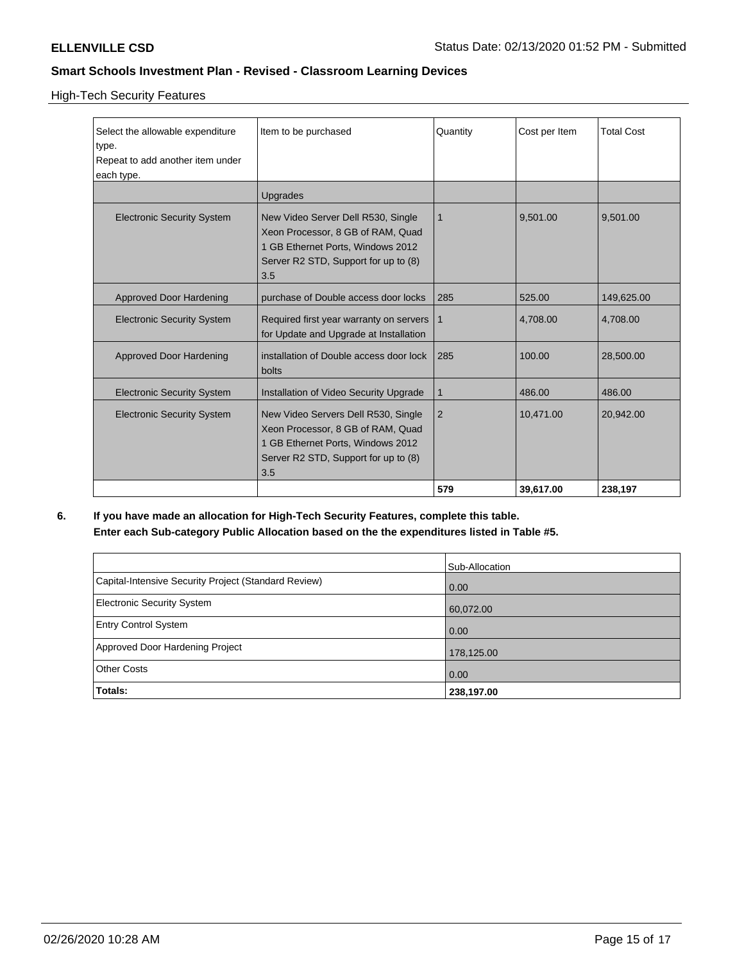## High-Tech Security Features

| Select the allowable expenditure<br>type.<br>Repeat to add another item under<br>each type. | Item to be purchased<br>Upgrades                                                                                                                             | Quantity       | Cost per Item      | <b>Total Cost</b>      |
|---------------------------------------------------------------------------------------------|--------------------------------------------------------------------------------------------------------------------------------------------------------------|----------------|--------------------|------------------------|
| <b>Electronic Security System</b>                                                           | New Video Server Dell R530, Single<br>Xeon Processor, 8 GB of RAM, Quad<br>1 GB Ethernet Ports, Windows 2012<br>Server R2 STD, Support for up to (8)<br>3.5  | 1              | 9,501.00           | 9,501.00               |
| Approved Door Hardening<br><b>Electronic Security System</b>                                | purchase of Double access door locks<br>Required first year warranty on servers<br>for Update and Upgrade at Installation                                    | 285<br>1       | 525.00<br>4,708.00 | 149,625.00<br>4,708.00 |
| Approved Door Hardening                                                                     | installation of Double access door lock<br>bolts                                                                                                             | 285            | 100.00             | 28,500.00              |
| <b>Electronic Security System</b>                                                           | Installation of Video Security Upgrade                                                                                                                       | 1              | 486.00             | 486.00                 |
| <b>Electronic Security System</b>                                                           | New Video Servers Dell R530, Single<br>Xeon Processor, 8 GB of RAM, Quad<br>1 GB Ethernet Ports, Windows 2012<br>Server R2 STD, Support for up to (8)<br>3.5 | $\overline{2}$ | 10,471.00          | 20,942.00              |
|                                                                                             |                                                                                                                                                              | 579            | 39,617.00          | 238,197                |

**6. If you have made an allocation for High-Tech Security Features, complete this table. Enter each Sub-category Public Allocation based on the the expenditures listed in Table #5.**

|                                                      | Sub-Allocation    |
|------------------------------------------------------|-------------------|
| Capital-Intensive Security Project (Standard Review) | 0.00              |
| Electronic Security System                           | 60,072.00         |
| <b>Entry Control System</b>                          | $\overline{0.00}$ |
| Approved Door Hardening Project                      | 178,125.00        |
| <b>Other Costs</b>                                   | $\overline{0.00}$ |
| Totals:                                              | 238,197.00        |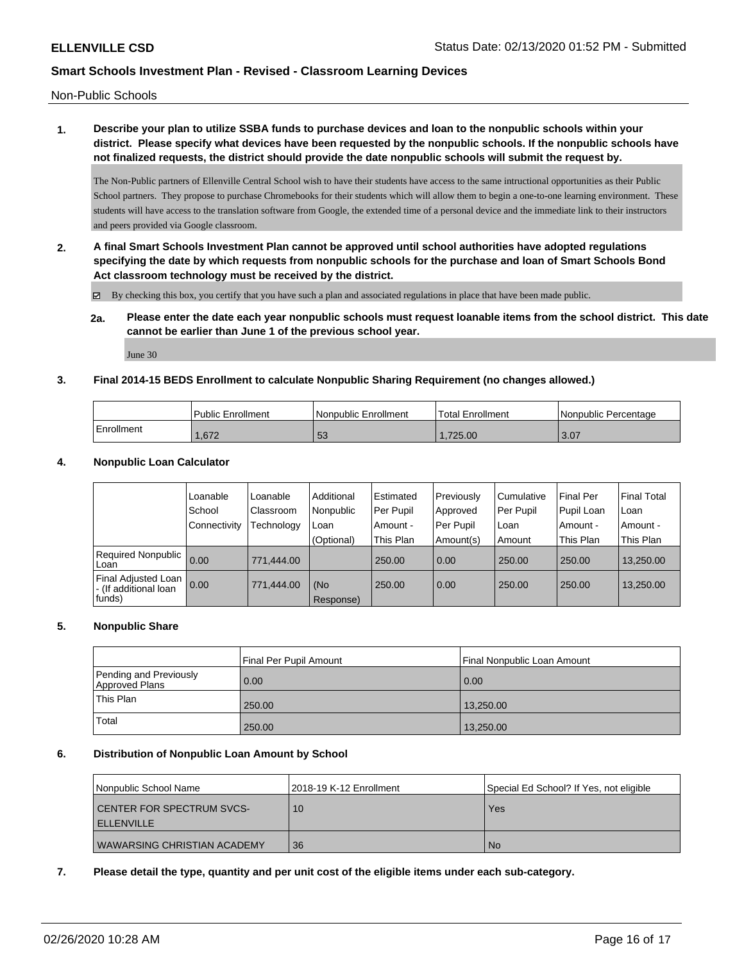Non-Public Schools

# **1. Describe your plan to utilize SSBA funds to purchase devices and loan to the nonpublic schools within your district. Please specify what devices have been requested by the nonpublic schools. If the nonpublic schools have not finalized requests, the district should provide the date nonpublic schools will submit the request by.**

The Non-Public partners of Ellenville Central School wish to have their students have access to the same intructional opportunities as their Public School partners. They propose to purchase Chromebooks for their students which will allow them to begin a one-to-one learning environment. These students will have access to the translation software from Google, the extended time of a personal device and the immediate link to their instructors and peers provided via Google classroom.

**2. A final Smart Schools Investment Plan cannot be approved until school authorities have adopted regulations specifying the date by which requests from nonpublic schools for the purchase and loan of Smart Schools Bond Act classroom technology must be received by the district.**

 $\boxtimes$  By checking this box, you certify that you have such a plan and associated regulations in place that have been made public.

**2a. Please enter the date each year nonpublic schools must request loanable items from the school district. This date cannot be earlier than June 1 of the previous school year.**

June 30

## **3. Final 2014-15 BEDS Enrollment to calculate Nonpublic Sharing Requirement (no changes allowed.)**

|            | Public Enrollment | l Nonpublic Enrollment | 'Total Enrollment | Nonpublic Percentage |
|------------|-------------------|------------------------|-------------------|----------------------|
| Enrollment | 1.672             | $\overline{r}$<br>აა   | .725.00           | 13.07                |

## **4. Nonpublic Loan Calculator**

|                                                                | Loanable          | Loanable   | Additional       | l Estimated | Previously | Cumulative | <b>Final Per</b> | <b>Final Total</b> |
|----------------------------------------------------------------|-------------------|------------|------------------|-------------|------------|------------|------------------|--------------------|
|                                                                | School            | Classroom  | Nonpublic        | l Per Pupil | Approved   | Per Pupil  | Pupil Loan       | Loan               |
|                                                                | l Connectivitv    | Technology | Loan             | Amount -    | Per Pupil  | Loan       | Amount -         | Amount -           |
|                                                                |                   |            | (Optional)       | This Plan   | Amount(s)  | Amount     | This Plan        | This Plan          |
| Required Nonpublic<br>l Loan.                                  | 0.00              | 771.444.00 |                  | 250.00      | 0.00       | 250.00     | 250.00           | 13.250.00          |
| <b>Final Adjusted Loan</b><br>- (If additional loan<br> funds) | $\overline{0.00}$ | 771.444.00 | (No<br>Response) | 250.00      | 0.00       | 250.00     | 250.00           | 13,250.00          |

## **5. Nonpublic Share**

|                                          | Final Per Pupil Amount | Final Nonpublic Loan Amount |
|------------------------------------------|------------------------|-----------------------------|
| Pending and Previously<br>Approved Plans | 0.00                   | 0.00                        |
| This Plan                                | 250.00                 | 13,250.00                   |
| Total                                    | 250.00                 | 13,250.00                   |

#### **6. Distribution of Nonpublic Loan Amount by School**

| Nonpublic School Name                                 | l 2018-19 K-12 Enrollment | Special Ed School? If Yes, not eligible |
|-------------------------------------------------------|---------------------------|-----------------------------------------|
| <b>CENTER FOR SPECTRUM SVCS-</b><br><b>ELLENVILLE</b> | 10                        | Yes                                     |
| I WAWARSING CHRISTIAN ACADEMY                         | 36                        | No.                                     |

**7. Please detail the type, quantity and per unit cost of the eligible items under each sub-category.**